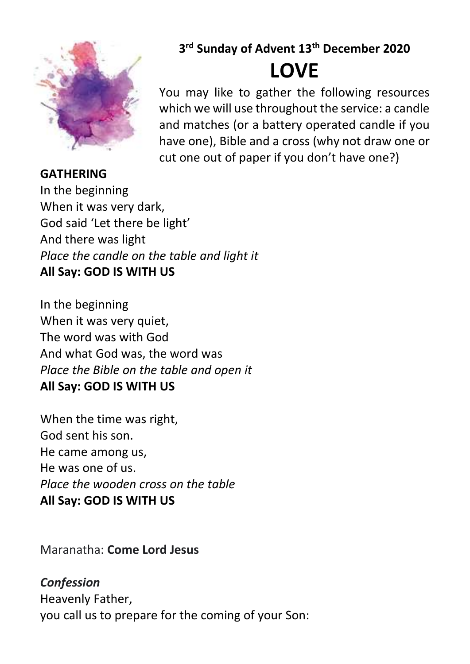

## **GATHERING**

**3 rd Sunday of Advent 13th December 2020**

# **LOVE**

You may like to gather the following resources which we will use throughout the service: a candle and matches (or a battery operated candle if you have one), Bible and a cross (why not draw one or cut one out of paper if you don't have one?)

In the beginning When it was very dark, God said 'Let there be light' And there was light *Place the candle on the table and light it* **All Say: GOD IS WITH US**

In the beginning When it was very quiet, The word was with God And what God was, the word was *Place the Bible on the table and open it* **All Say: GOD IS WITH US**

When the time was right, God sent his son. He came among us, He was one of us. *Place the wooden cross on the table* **All Say: GOD IS WITH US**

Maranatha: **Come Lord Jesus**

*Confession* Heavenly Father, you call us to prepare for the coming of your Son: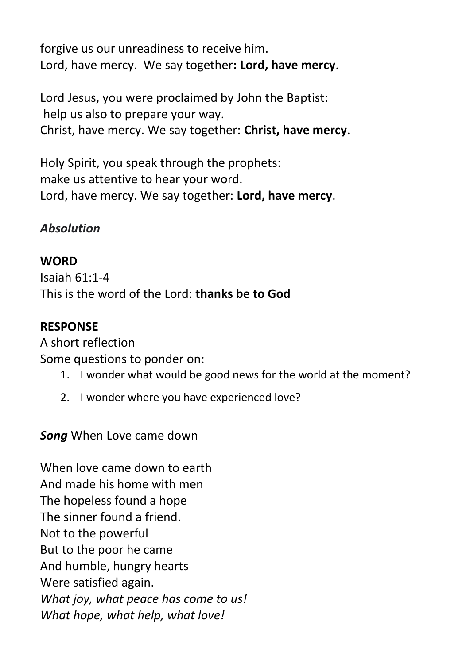forgive us our unreadiness to receive him. Lord, have mercy. We say together**: Lord, have mercy**.

Lord Jesus, you were proclaimed by John the Baptist: help us also to prepare your way. Christ, have mercy. We say together: **Christ, have mercy**.

Holy Spirit, you speak through the prophets: make us attentive to hear your word. Lord, have mercy. We say together: **Lord, have mercy**.

### *Absolution*

#### **WORD**

Isaiah 61:1-4 This is the word of the Lord: **thanks be to God**

#### **RESPONSE**

A short reflection Some questions to ponder on:

- 1. I wonder what would be good news for the world at the moment?
- 2. I wonder where you have experienced love?

*Song* When Love came down

When love came down to earth And made his home with men The hopeless found a hope The sinner found a friend. Not to the powerful But to the poor he came And humble, hungry hearts Were satisfied again. *What joy, what peace has come to us! What hope, what help, what love!*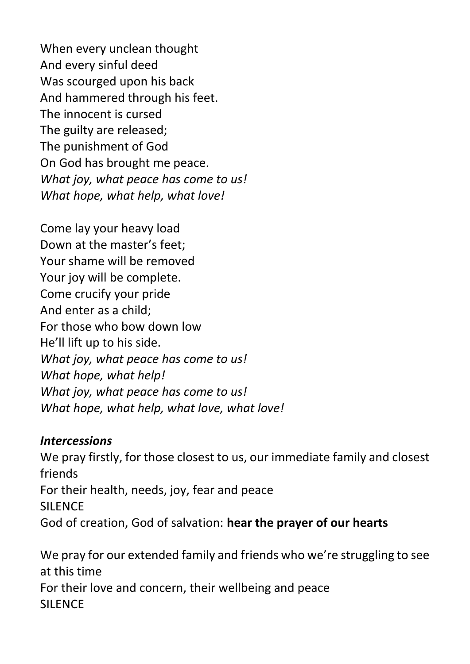When every unclean thought And every sinful deed Was scourged upon his back And hammered through his feet. The innocent is cursed The guilty are released; The punishment of God On God has brought me peace. *What joy, what peace has come to us! What hope, what help, what love!*

Come lay your heavy load Down at the master's feet; Your shame will be removed Your joy will be complete. Come crucify your pride And enter as a child; For those who bow down low He'll lift up to his side. *What joy, what peace has come to us! What hope, what help! What joy, what peace has come to us! What hope, what help, what love, what love!*

#### *Intercessions*

We pray firstly, for those closest to us, our immediate family and closest friends For their health, needs, joy, fear and peace SILENCE God of creation, God of salvation: **hear the prayer of our hearts**

We pray for our extended family and friends who we're struggling to see at this time For their love and concern, their wellbeing and peace **SILENCE**